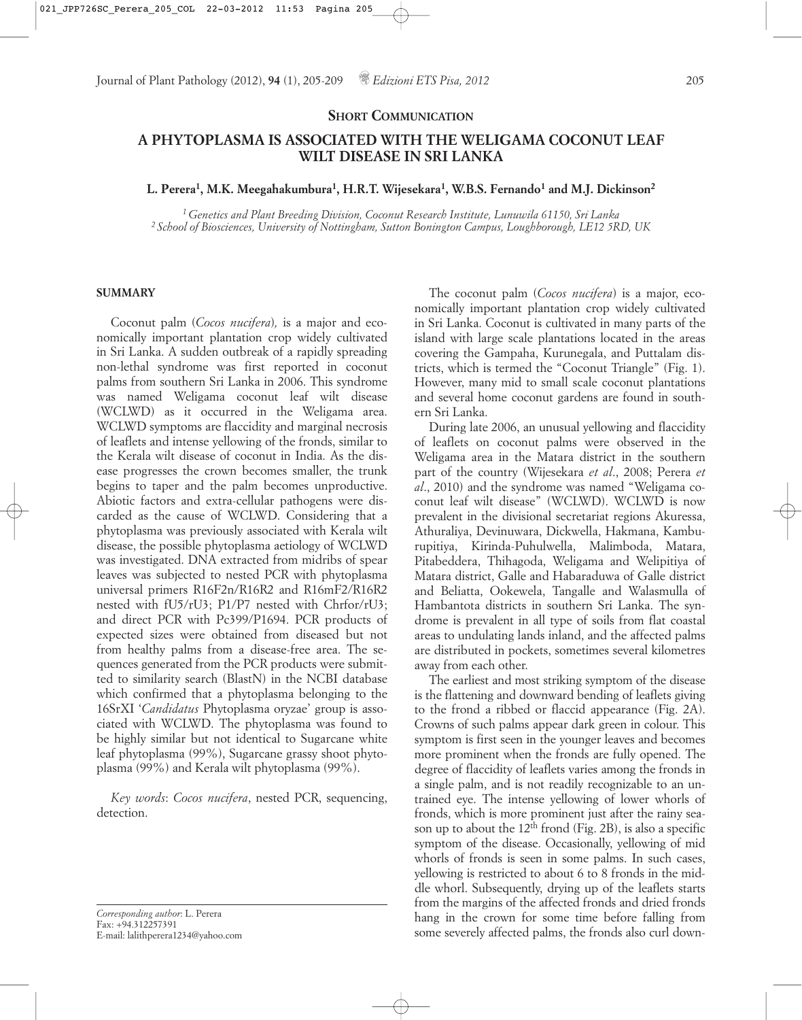#### **SHORT COMMUNICATION**

# **A PHYTOPLASMA IS ASSOCIATED WITH THE WELIGAMA COCONUT LEAF WILT DISEASE IN SRI LANKA**

## **L. Perera1, M.K. Meegahakumbura1, H.R.T. Wijesekara1, W.B.S. Fernando1 and M.J. Dickinson2**

*1 Genetics and Plant Breeding Division, Coconut Research Institute, Lunuwila 61150, Sri Lanka 2 School of Biosciences, University of Nottingham, Sutton Bonington Campus, Loughborough, LE12 5RD, UK*

#### **SUMMARY**

Coconut palm (*Cocos nucifera*)*,* is a major and economically important plantation crop widely cultivated in Sri Lanka. A sudden outbreak of a rapidly spreading non-lethal syndrome was first reported in coconut palms from southern Sri Lanka in 2006. This syndrome was named Weligama coconut leaf wilt disease (WCLWD) as it occurred in the Weligama area. WCLWD symptoms are flaccidity and marginal necrosis of leaflets and intense yellowing of the fronds, similar to the Kerala wilt disease of coconut in India. As the disease progresses the crown becomes smaller, the trunk begins to taper and the palm becomes unproductive. Abiotic factors and extra-cellular pathogens were discarded as the cause of WCLWD. Considering that a phytoplasma was previously associated with Kerala wilt disease, the possible phytoplasma aetiology of WCLWD was investigated. DNA extracted from midribs of spear leaves was subjected to nested PCR with phytoplasma universal primers R16F2n/R16R2 and R16mF2/R16R2 nested with fU5/rU3; P1/P7 nested with Chrfor/rU3; and direct PCR with Pc399/P1694. PCR products of expected sizes were obtained from diseased but not from healthy palms from a disease-free area. The sequences generated from the PCR products were submitted to similarity search (BlastN) in the NCBI database which confirmed that a phytoplasma belonging to the 16SrXI '*Candidatus* Phytoplasma oryzae' group is associated with WCLWD. The phytoplasma was found to be highly similar but not identical to Sugarcane white leaf phytoplasma (99%), Sugarcane grassy shoot phytoplasma (99%) and Kerala wilt phytoplasma (99%).

*Key words*: *Cocos nucifera*, nested PCR, sequencing, detection.

*Corresponding author*: L. Perera Fax: +94.312257391 E-mail: lalithperera1234@yahoo.com

The coconut palm (*Cocos nucifera*) is a major, economically important plantation crop widely cultivated in Sri Lanka. Coconut is cultivated in many parts of the island with large scale plantations located in the areas covering the Gampaha, Kurunegala, and Puttalam districts, which is termed the "Coconut Triangle" (Fig. 1). However, many mid to small scale coconut plantations and several home coconut gardens are found in southern Sri Lanka.

During late 2006, an unusual yellowing and flaccidity of leaflets on coconut palms were observed in the Weligama area in the Matara district in the southern part of the country (Wijesekara *et al*., 2008; Perera *et al*., 2010) and the syndrome was named "Weligama coconut leaf wilt disease" (WCLWD). WCLWD is now prevalent in the divisional secretariat regions Akuressa, Athuraliya, Devinuwara, Dickwella, Hakmana, Kamburupitiya, Kirinda-Puhulwella, Malimboda, Matara, Pitabeddera, Thihagoda, Weligama and Welipitiya of Matara district, Galle and Habaraduwa of Galle district and Beliatta, Ookewela, Tangalle and Walasmulla of Hambantota districts in southern Sri Lanka. The syndrome is prevalent in all type of soils from flat coastal areas to undulating lands inland, and the affected palms are distributed in pockets, sometimes several kilometres away from each other.

The earliest and most striking symptom of the disease is the flattening and downward bending of leaflets giving to the frond a ribbed or flaccid appearance (Fig. 2A). Crowns of such palms appear dark green in colour. This symptom is first seen in the younger leaves and becomes more prominent when the fronds are fully opened. The degree of flaccidity of leaflets varies among the fronds in a single palm, and is not readily recognizable to an untrained eye. The intense yellowing of lower whorls of fronds, which is more prominent just after the rainy season up to about the  $12<sup>th</sup>$  frond (Fig. 2B), is also a specific symptom of the disease. Occasionally, yellowing of mid whorls of fronds is seen in some palms. In such cases, yellowing is restricted to about 6 to 8 fronds in the middle whorl. Subsequently, drying up of the leaflets starts from the margins of the affected fronds and dried fronds hang in the crown for some time before falling from some severely affected palms, the fronds also curl down-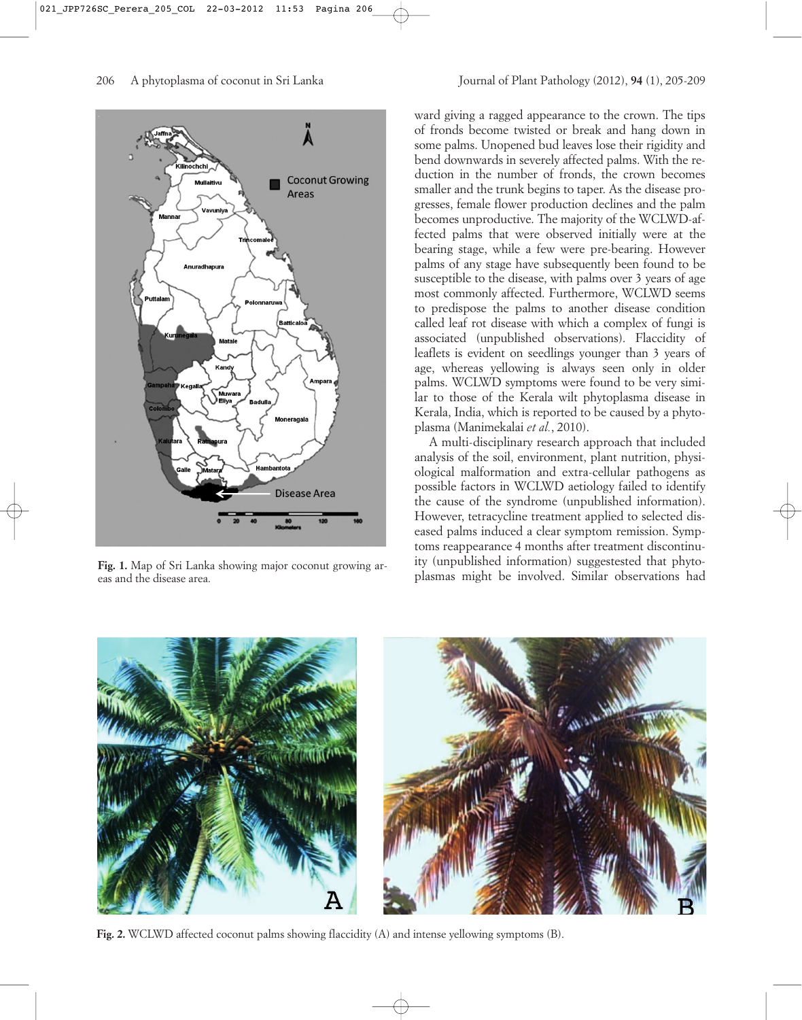



**Fig. 1.** Map of Sri Lanka showing major coconut growing areas and the disease area.

ward giving a ragged appearance to the crown. The tips of fronds become twisted or break and hang down in some palms. Unopened bud leaves lose their rigidity and bend downwards in severely affected palms. With the reduction in the number of fronds, the crown becomes smaller and the trunk begins to taper. As the disease progresses, female flower production declines and the palm becomes unproductive. The majority of the WCLWD-affected palms that were observed initially were at the bearing stage, while a few were pre-bearing. However palms of any stage have subsequently been found to be susceptible to the disease, with palms over 3 years of age most commonly affected. Furthermore, WCLWD seems to predispose the palms to another disease condition called leaf rot disease with which a complex of fungi is associated (unpublished observations). Flaccidity of leaflets is evident on seedlings younger than 3 years of age, whereas yellowing is always seen only in older palms. WCLWD symptoms were found to be very similar to those of the Kerala wilt phytoplasma disease in Kerala, India, which is reported to be caused by a phytoplasma (Manimekalai *et al.*, 2010).

A multi-disciplinary research approach that included analysis of the soil, environment, plant nutrition, physiological malformation and extra-cellular pathogens as possible factors in WCLWD aetiology failed to identify the cause of the syndrome (unpublished information). However, tetracycline treatment applied to selected diseased palms induced a clear symptom remission. Symptoms reappearance 4 months after treatment discontinuity (unpublished information) suggestested that phytoplasmas might be involved. Similar observations had



**Fig. 2.** WCLWD affected coconut palms showing flaccidity (A) and intense yellowing symptoms (B).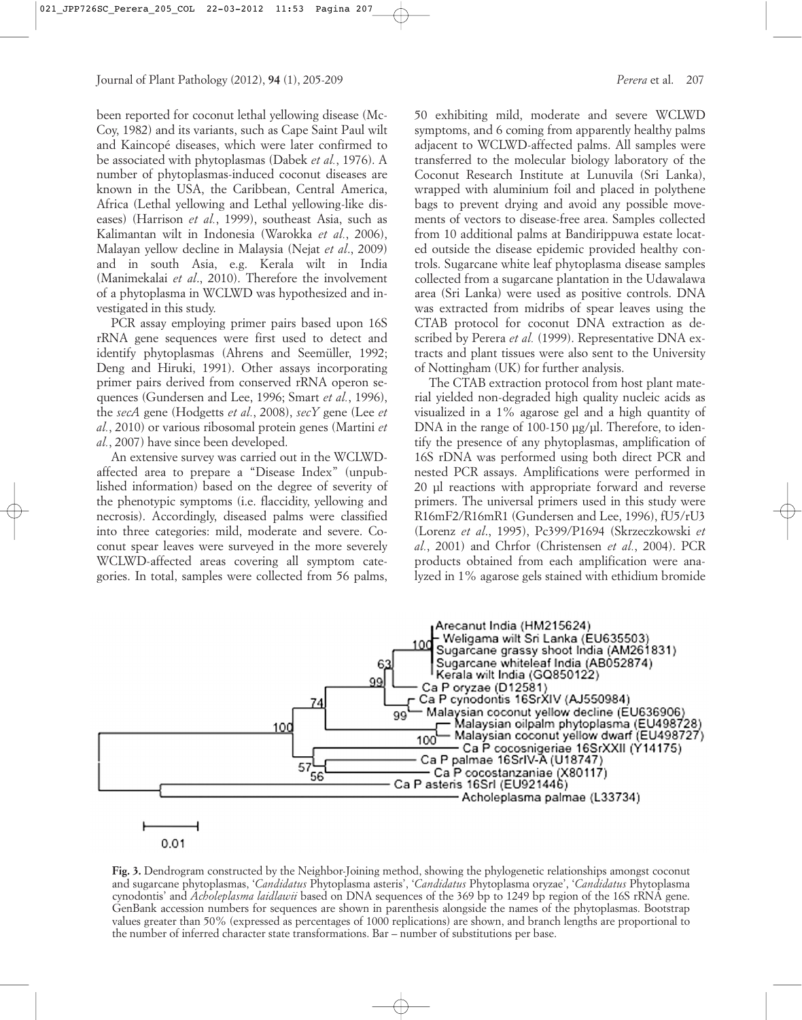been reported for coconut lethal yellowing disease (Mc-Coy, 1982) and its variants, such as Cape Saint Paul wilt and Kaincopé diseases, which were later confirmed to be associated with phytoplasmas (Dabek *et al.*, 1976). A number of phytoplasmas-induced coconut diseases are known in the USA, the Caribbean, Central America, Africa (Lethal yellowing and Lethal yellowing-like diseases) (Harrison *et al.*, 1999), southeast Asia, such as Kalimantan wilt in Indonesia (Warokka *et al.*, 2006), Malayan yellow decline in Malaysia (Nejat *et al*., 2009) and in south Asia, e.g. Kerala wilt in India (Manimekalai *et al*., 2010). Therefore the involvement of a phytoplasma in WCLWD was hypothesized and investigated in this study.

PCR assay employing primer pairs based upon 16S rRNA gene sequences were first used to detect and identify phytoplasmas (Ahrens and Seemüller, 1992; Deng and Hiruki, 1991). Other assays incorporating primer pairs derived from conserved rRNA operon sequences (Gundersen and Lee, 1996; Smart *et al.*, 1996), the *secA* gene (Hodgetts *et al.*, 2008), *secY* gene (Lee *et al.*, 2010) or various ribosomal protein genes (Martini *et al.*, 2007) have since been developed.

An extensive survey was carried out in the WCLWDaffected area to prepare a "Disease Index" (unpublished information) based on the degree of severity of the phenotypic symptoms (i.e. flaccidity, yellowing and necrosis). Accordingly, diseased palms were classified into three categories: mild, moderate and severe. Coconut spear leaves were surveyed in the more severely WCLWD-affected areas covering all symptom categories. In total, samples were collected from 56 palms, 50 exhibiting mild, moderate and severe WCLWD symptoms, and 6 coming from apparently healthy palms adjacent to WCLWD-affected palms. All samples were transferred to the molecular biology laboratory of the Coconut Research Institute at Lunuvila (Sri Lanka), wrapped with aluminium foil and placed in polythene bags to prevent drying and avoid any possible movements of vectors to disease-free area. Samples collected from 10 additional palms at Bandirippuwa estate located outside the disease epidemic provided healthy controls. Sugarcane white leaf phytoplasma disease samples collected from a sugarcane plantation in the Udawalawa area (Sri Lanka) were used as positive controls. DNA was extracted from midribs of spear leaves using the CTAB protocol for coconut DNA extraction as described by Perera *et al.* (1999). Representative DNA extracts and plant tissues were also sent to the University of Nottingham (UK) for further analysis.

The CTAB extraction protocol from host plant material yielded non-degraded high quality nucleic acids as visualized in a 1% agarose gel and a high quantity of DNA in the range of 100-150 µg/µl. Therefore, to identify the presence of any phytoplasmas, amplification of 16S rDNA was performed using both direct PCR and nested PCR assays. Amplifications were performed in 20 µl reactions with appropriate forward and reverse primers. The universal primers used in this study were R16mF2/R16mR1 (Gundersen and Lee, 1996), fU5/rU3 (Lorenz *et al*., 1995), Pc399/P1694 (Skrzeczkowski *et al.*, 2001) and Chrfor (Christensen *et al.*, 2004). PCR products obtained from each amplification were analyzed in 1% agarose gels stained with ethidium bromide



 $0.01$ 

**Fig. 3.** Dendrogram constructed by the Neighbor-Joining method, showing the phylogenetic relationships amongst coconut and sugarcane phytoplasmas, '*Candidatus* Phytoplasma asteris', '*Candidatus* Phytoplasma oryzae', '*Candidatus* Phytoplasma cynodontis' and *Acholeplasma laidlawii* based on DNA sequences of the 369 bp to 1249 bp region of the 16S rRNA gene. GenBank accession numbers for sequences are shown in parenthesis alongside the names of the phytoplasmas. Bootstrap values greater than 50% (expressed as percentages of 1000 replications) are shown, and branch lengths are proportional to the number of inferred character state transformations. Bar – number of substitutions per base.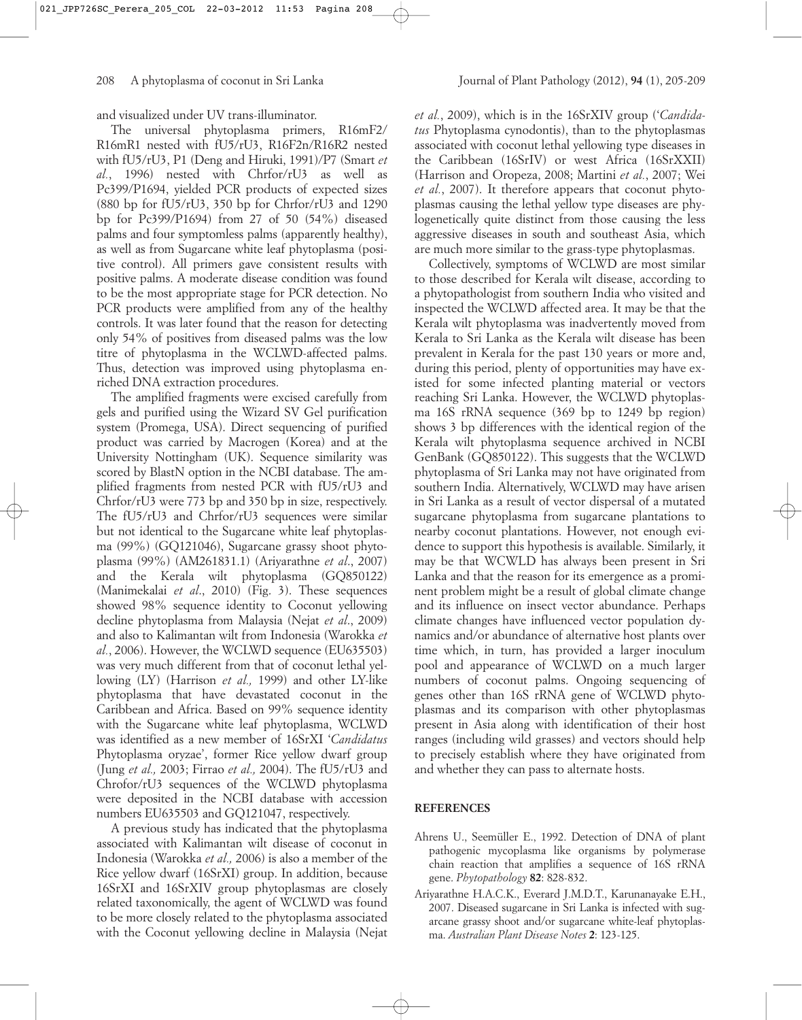and visualized under UV trans-illuminator.

The universal phytoplasma primers, R16mF2/ R16mR1 nested with fU5/rU3, R16F2n/R16R2 nested with fU5/rU3, P1 (Deng and Hiruki, 1991)/P7 (Smart *et al.*, 1996) nested with Chrfor/rU3 as well as Pc399/P1694, yielded PCR products of expected sizes (880 bp for fU5/rU3, 350 bp for Chrfor/rU3 and 1290 bp for Pc399/P1694) from 27 of 50 (54%) diseased palms and four symptomless palms (apparently healthy), as well as from Sugarcane white leaf phytoplasma (positive control). All primers gave consistent results with positive palms. A moderate disease condition was found to be the most appropriate stage for PCR detection. No PCR products were amplified from any of the healthy controls. It was later found that the reason for detecting only 54% of positives from diseased palms was the low titre of phytoplasma in the WCLWD-affected palms. Thus, detection was improved using phytoplasma enriched DNA extraction procedures.

The amplified fragments were excised carefully from gels and purified using the Wizard SV Gel purification system (Promega, USA). Direct sequencing of purified product was carried by Macrogen (Korea) and at the University Nottingham (UK). Sequence similarity was scored by BlastN option in the NCBI database. The amplified fragments from nested PCR with fU5/rU3 and Chrfor/rU3 were 773 bp and 350 bp in size, respectively. The fU5/rU3 and Chrfor/rU3 sequences were similar but not identical to the Sugarcane white leaf phytoplasma (99%) (GQ121046), Sugarcane grassy shoot phytoplasma (99%) (AM261831.1) (Ariyarathne *et al*., 2007) and the Kerala wilt phytoplasma (GQ850122) (Manimekalai *et al*., 2010) (Fig. 3). These sequences showed 98% sequence identity to Coconut yellowing decline phytoplasma from Malaysia (Nejat *et al*., 2009) and also to Kalimantan wilt from Indonesia (Warokka *et al.*, 2006). However, the WCLWD sequence (EU635503) was very much different from that of coconut lethal yellowing (LY) (Harrison *et al.,* 1999) and other LY-like phytoplasma that have devastated coconut in the Caribbean and Africa. Based on 99% sequence identity with the Sugarcane white leaf phytoplasma, WCLWD was identified as a new member of 16SrXI '*Candidatus* Phytoplasma oryzae', former Rice yellow dwarf group (Jung *et al.,* 2003; Firrao *et al.,* 2004). The fU5/rU3 and Chrofor/rU3 sequences of the WCLWD phytoplasma were deposited in the NCBI database with accession numbers EU635503 and GQ121047, respectively.

A previous study has indicated that the phytoplasma associated with Kalimantan wilt disease of coconut in Indonesia (Warokka *et al.,* 2006) is also a member of the Rice yellow dwarf (16SrXI) group. In addition, because 16SrXI and 16SrXIV group phytoplasmas are closely related taxonomically, the agent of WCLWD was found to be more closely related to the phytoplasma associated with the Coconut yellowing decline in Malaysia (Nejat

*et al.*, 2009), which is in the 16SrXIV group ('*Candidatus* Phytoplasma cynodontis), than to the phytoplasmas associated with coconut lethal yellowing type diseases in the Caribbean (16SrIV) or west Africa (16SrXXII) (Harrison and Oropeza, 2008; Martini *et al.*, 2007; Wei *et al.*, 2007). It therefore appears that coconut phytoplasmas causing the lethal yellow type diseases are phylogenetically quite distinct from those causing the less aggressive diseases in south and southeast Asia, which are much more similar to the grass-type phytoplasmas.

Collectively, symptoms of WCLWD are most similar to those described for Kerala wilt disease, according to a phytopathologist from southern India who visited and inspected the WCLWD affected area. It may be that the Kerala wilt phytoplasma was inadvertently moved from Kerala to Sri Lanka as the Kerala wilt disease has been prevalent in Kerala for the past 130 years or more and, during this period, plenty of opportunities may have existed for some infected planting material or vectors reaching Sri Lanka. However, the WCLWD phytoplasma 16S rRNA sequence (369 bp to 1249 bp region) shows 3 bp differences with the identical region of the Kerala wilt phytoplasma sequence archived in NCBI GenBank (GQ850122). This suggests that the WCLWD phytoplasma of Sri Lanka may not have originated from southern India. Alternatively, WCLWD may have arisen in Sri Lanka as a result of vector dispersal of a mutated sugarcane phytoplasma from sugarcane plantations to nearby coconut plantations. However, not enough evidence to support this hypothesis is available. Similarly, it may be that WCWLD has always been present in Sri Lanka and that the reason for its emergence as a prominent problem might be a result of global climate change and its influence on insect vector abundance. Perhaps climate changes have influenced vector population dynamics and/or abundance of alternative host plants over time which, in turn, has provided a larger inoculum pool and appearance of WCLWD on a much larger numbers of coconut palms. Ongoing sequencing of genes other than 16S rRNA gene of WCLWD phytoplasmas and its comparison with other phytoplasmas present in Asia along with identification of their host ranges (including wild grasses) and vectors should help to precisely establish where they have originated from and whether they can pass to alternate hosts.

## **REFERENCES**

- Ahrens U., Seemüller E., 1992. Detection of DNA of plant pathogenic mycoplasma like organisms by polymerase chain reaction that amplifies a sequence of 16S rRNA gene. *Phytopathology* **82**: 828-832.
- Ariyarathne H.A.C.K., Everard J.M.D.T., Karunanayake E.H., 2007. Diseased sugarcane in Sri Lanka is infected with sugarcane grassy shoot and/or sugarcane white-leaf phytoplasma. *Australian Plant Disease Notes* **2**: 123-125.